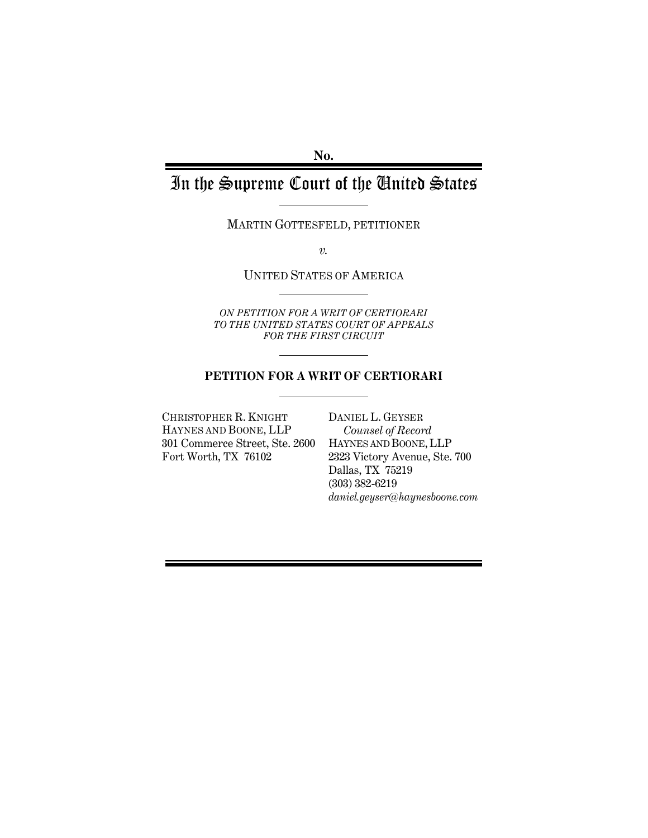**No.** 

# In the Supreme Court of the United States

MARTIN GOTTESFELD, PETITIONER

*v.*

UNITED STATES OF AMERICA

*ON PETITION FOR A WRIT OF CERTIORARI TO THE UNITED STATES COURT OF APPEALS FOR THE FIRST CIRCUIT* 

### **PETITION FOR A WRIT OF CERTIORARI**

CHRISTOPHER R. KNIGHT HAYNES AND BOONE, LLP 301 Commerce Street, Ste. 2600 Fort Worth, TX 76102

DANIEL L. GEYSER *Counsel of Record* HAYNES AND BOONE, LLP 2323 Victory Avenue, Ste. 700 Dallas, TX 75219 (303) 382-6219 *daniel.geyser@haynesboone.com*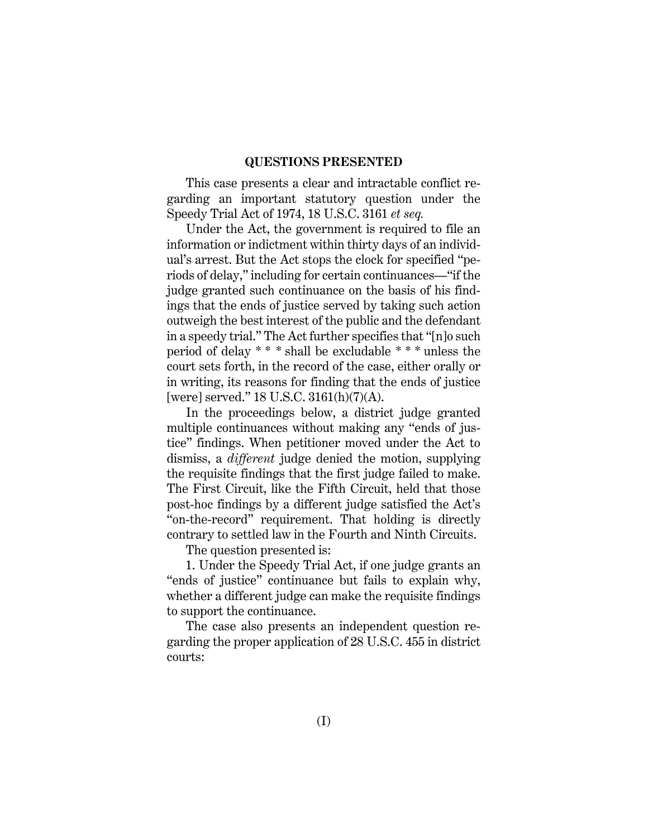#### **QUESTIONS PRESENTED**

This case presents a clear and intractable conflict regarding an important statutory question under the Speedy Trial Act of 1974, 18 U.S.C. 3161 *et seq.*

Under the Act, the government is required to file an information or indictment within thirty days of an individual's arrest. But the Act stops the clock for specified "periods of delay," including for certain continuances—"if the judge granted such continuance on the basis of his findings that the ends of justice served by taking such action outweigh the best interest of the public and the defendant in a speedy trial." The Act further specifies that "[n]o such period of delay \* \* \* shall be excludable \* \* \* unless the court sets forth, in the record of the case, either orally or in writing, its reasons for finding that the ends of justice [were] served." 18 U.S.C. 3161(h)(7)(A).

In the proceedings below, a district judge granted multiple continuances without making any "ends of justice" findings. When petitioner moved under the Act to dismiss, a *different* judge denied the motion, supplying the requisite findings that the first judge failed to make. The First Circuit, like the Fifth Circuit, held that those post-hoc findings by a different judge satisfied the Act's "on-the-record" requirement. That holding is directly contrary to settled law in the Fourth and Ninth Circuits.

The question presented is:

1. Under the Speedy Trial Act, if one judge grants an "ends of justice" continuance but fails to explain why, whether a different judge can make the requisite findings to support the continuance.

The case also presents an independent question regarding the proper application of 28 U.S.C. 455 in district courts: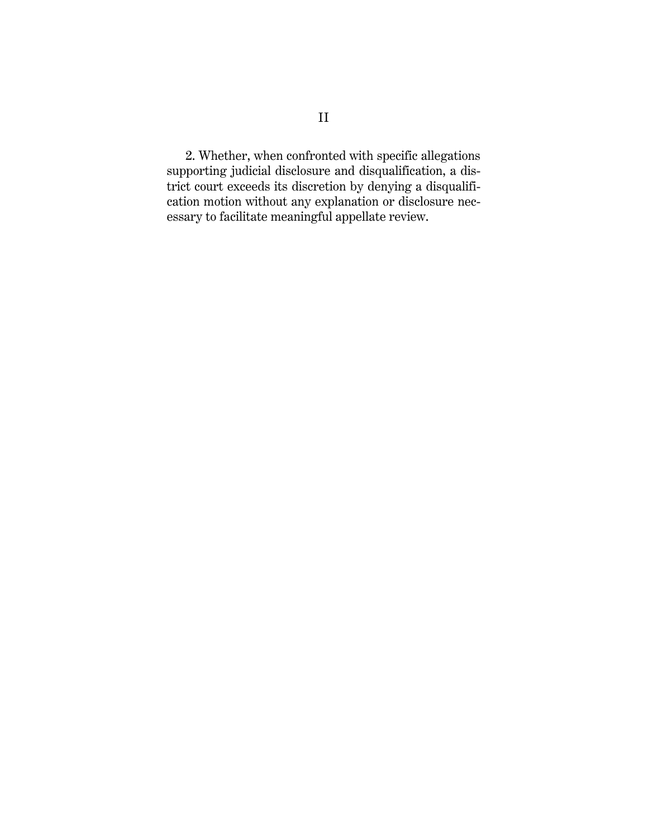2. Whether, when confronted with specific allegations supporting judicial disclosure and disqualification, a district court exceeds its discretion by denying a disqualification motion without any explanation or disclosure necessary to facilitate meaningful appellate review.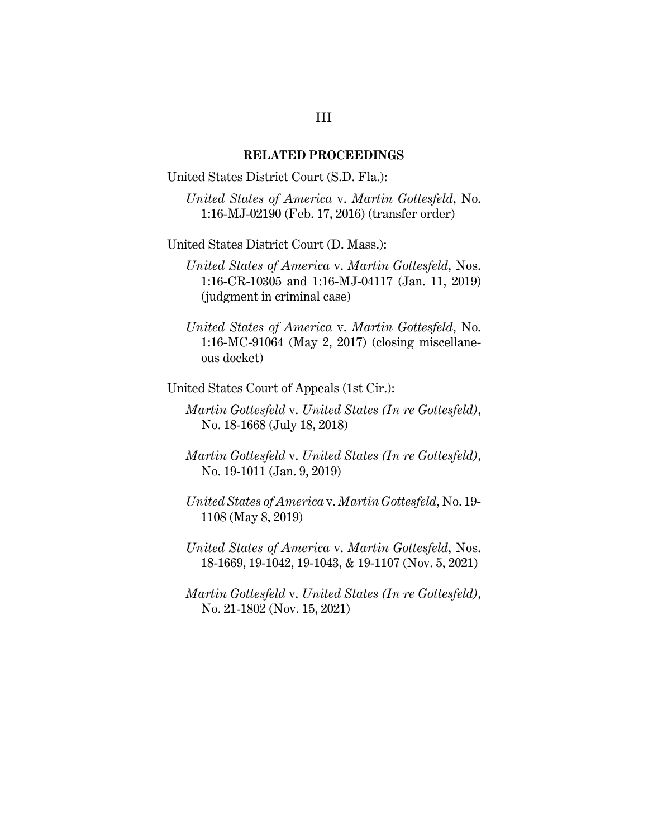#### **RELATED PROCEEDINGS**

United States District Court (S.D. Fla.):

*United States of America* v. *Martin Gottesfeld*, No. 1:16-MJ-02190 (Feb. 17, 2016) (transfer order)

United States District Court (D. Mass.):

*United States of America* v. *Martin Gottesfeld*, Nos. 1:16-CR-10305 and 1:16-MJ-04117 (Jan. 11, 2019) (judgment in criminal case)

*United States of America* v. *Martin Gottesfeld*, No. 1:16-MC-91064 (May 2, 2017) (closing miscellaneous docket)

United States Court of Appeals (1st Cir.):

*Martin Gottesfeld* v. *United States (In re Gottesfeld)*, No. 18-1668 (July 18, 2018)

*Martin Gottesfeld* v. *United States (In re Gottesfeld)*, No. 19-1011 (Jan. 9, 2019)

*United States of America* v. *Martin Gottesfeld*, No. 19- 1108 (May 8, 2019)

*United States of America* v. *Martin Gottesfeld*, Nos. 18-1669, 19-1042, 19-1043, & 19-1107 (Nov. 5, 2021)

*Martin Gottesfeld* v. *United States (In re Gottesfeld)*, No. 21-1802 (Nov. 15, 2021)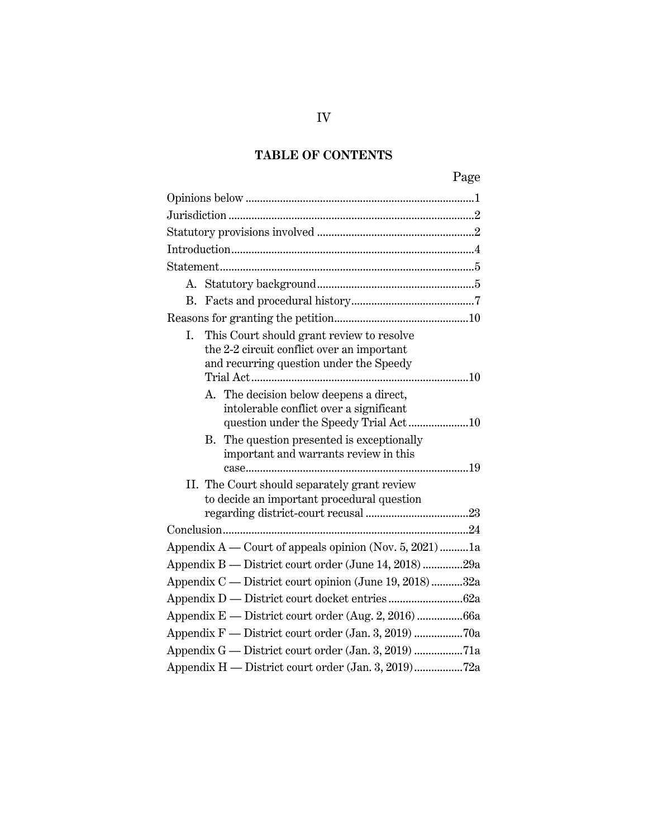## **TABLE OF CONTENTS**

|--|

| This Court should grant review to resolve<br>I.<br>the 2-2 circuit conflict over an important<br>and recurring question under the Speedy |
|------------------------------------------------------------------------------------------------------------------------------------------|
| A. The decision below deepens a direct,<br>intolerable conflict over a significant                                                       |
| B. The question presented is exceptionally<br>important and warrants review in this                                                      |
| II. The Court should separately grant review<br>to decide an important procedural question                                               |
|                                                                                                                                          |
| Appendix $A$ — Court of appeals opinion (Nov. 5, 2021) 1a                                                                                |
| Appendix B — District court order (June 14, 2018) 29a                                                                                    |
| Appendix C — District court opinion (June 19, 2018) 32a                                                                                  |
|                                                                                                                                          |
| Appendix E - District court order (Aug. 2, 2016) 66a                                                                                     |
| Appendix F - District court order (Jan. 3, 2019) 70a                                                                                     |
| Appendix G — District court order (Jan. 3, 2019) 71a                                                                                     |
| Appendix H - District court order (Jan. 3, 2019)72a                                                                                      |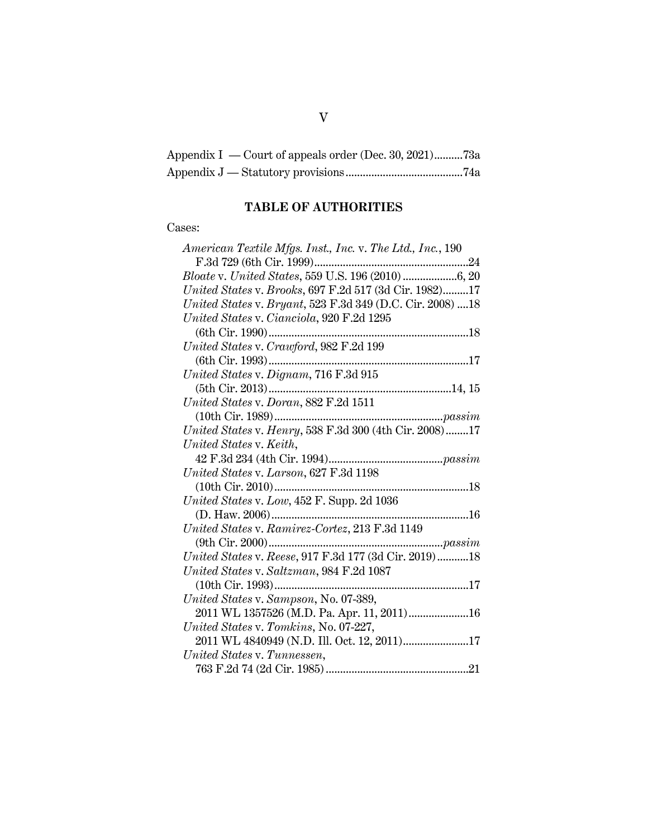| Appendix I — Court of appeals order (Dec. 30, 2021)73a |  |
|--------------------------------------------------------|--|
|                                                        |  |

## **TABLE OF AUTHORITIES**

### Cases: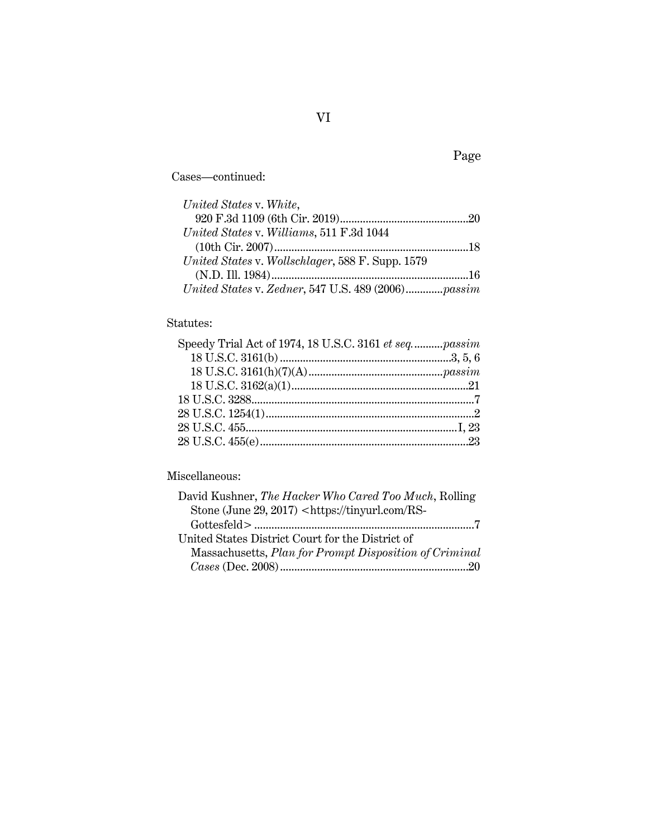Cases—continued:

| United States v. White,                            |  |
|----------------------------------------------------|--|
|                                                    |  |
| United States v. Williams, 511 F.3d 1044           |  |
|                                                    |  |
| United States v. Wollschlager, 588 F. Supp. 1579   |  |
|                                                    |  |
| United States v. Zedner, 547 U.S. 489 (2006)passim |  |

## Statutes:

## Miscellaneous:

| David Kushner, The Hacker Who Cared Too Much, Rolling                |
|----------------------------------------------------------------------|
| Stone (June 29, 2017) <https: rs-<="" td="" tinyurl.com=""></https:> |
|                                                                      |
| United States District Court for the District of                     |
| Massachusetts, Plan for Prompt Disposition of Criminal               |
|                                                                      |

## Page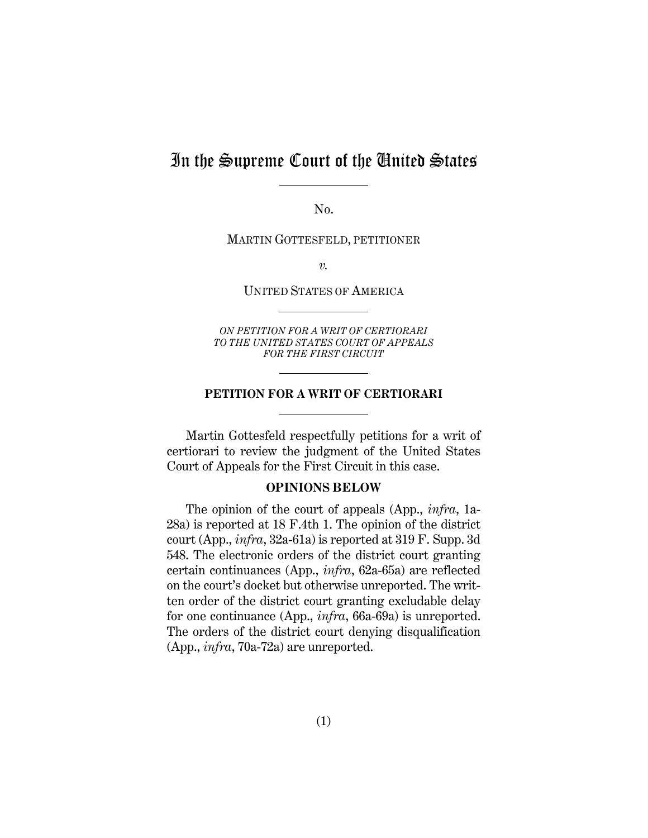## In the Supreme Court of the United States

No.

MARTIN GOTTESFELD, PETITIONER

*v.*

UNITED STATES OF AMERICA

*ON PETITION FOR A WRIT OF CERTIORARI TO THE UNITED STATES COURT OF APPEALS FOR THE FIRST CIRCUIT* 

#### **PETITION FOR A WRIT OF CERTIORARI**

Martin Gottesfeld respectfully petitions for a writ of certiorari to review the judgment of the United States Court of Appeals for the First Circuit in this case.

#### **OPINIONS BELOW**

<span id="page-7-0"></span>The opinion of the court of appeals (App., *infra*, 1a-28a) is reported at 18 F.4th 1. The opinion of the district court (App., *infra*, 32a-61a) is reported at 319 F. Supp. 3d 548. The electronic orders of the district court granting certain continuances (App., *infra*, 62a-65a) are reflected on the court's docket but otherwise unreported. The written order of the district court granting excludable delay for one continuance (App., *infra*, 66a-69a) is unreported. The orders of the district court denying disqualification (App., *infra*, 70a-72a) are unreported.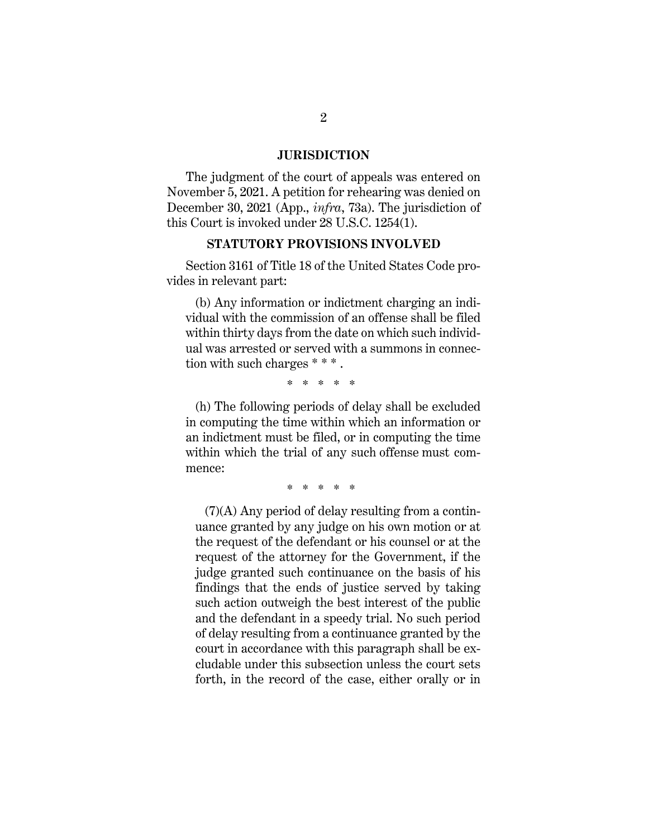#### **JURISDICTION**

<span id="page-8-0"></span>The judgment of the court of appeals was entered on November 5, 2021. A petition for rehearing was denied on December 30, 2021 (App., *infra*, 73a). The jurisdiction of this Court is invoked under 28 U.S.C. 1254(1).

#### **STATUTORY PROVISIONS INVOLVED**

<span id="page-8-1"></span>Section 3161 of Title 18 of the United States Code provides in relevant part:

(b) Any information or indictment charging an individual with the commission of an offense shall be filed within thirty days from the date on which such individual was arrested or served with a summons in connection with such charges \* \* \* .

\* \* \* \* \*

(h) The following periods of delay shall be excluded in computing the time within which an information or an indictment must be filed, or in computing the time within which the trial of any such offense must commence:

\* \* \* \* \*

(7)(A) Any period of delay resulting from a continuance granted by any judge on his own motion or at the request of the defendant or his counsel or at the request of the attorney for the Government, if the judge granted such continuance on the basis of his findings that the ends of justice served by taking such action outweigh the best interest of the public and the defendant in a speedy trial. No such period of delay resulting from a continuance granted by the court in accordance with this paragraph shall be excludable under this subsection unless the court sets forth, in the record of the case, either orally or in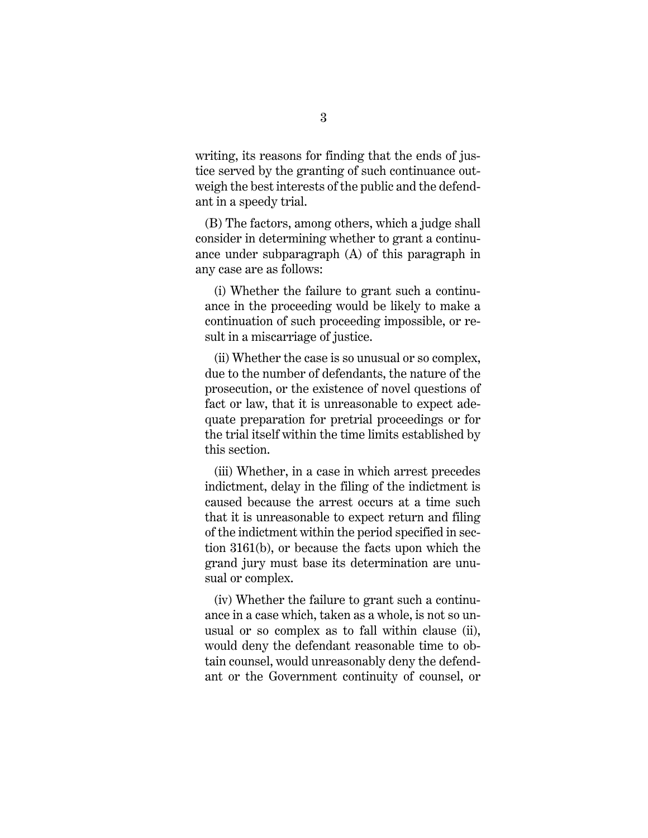writing, its reasons for finding that the ends of justice served by the granting of such continuance outweigh the best interests of the public and the defendant in a speedy trial.

(B) The factors, among others, which a judge shall consider in determining whether to grant a continuance under subparagraph (A) of this paragraph in any case are as follows:

 (i) Whether the failure to grant such a continuance in the proceeding would be likely to make a continuation of such proceeding impossible, or result in a miscarriage of justice.

 (ii) Whether the case is so unusual or so complex, due to the number of defendants, the nature of the prosecution, or the existence of novel questions of fact or law, that it is unreasonable to expect adequate preparation for pretrial proceedings or for the trial itself within the time limits established by this section.

 (iii) Whether, in a case in which arrest precedes indictment, delay in the filing of the indictment is caused because the arrest occurs at a time such that it is unreasonable to expect return and filing of the indictment within the period specified in section 3161(b), or because the facts upon which the grand jury must base its determination are unusual or complex.

 (iv) Whether the failure to grant such a continuance in a case which, taken as a whole, is not so unusual or so complex as to fall within clause (ii), would deny the defendant reasonable time to obtain counsel, would unreasonably deny the defendant or the Government continuity of counsel, or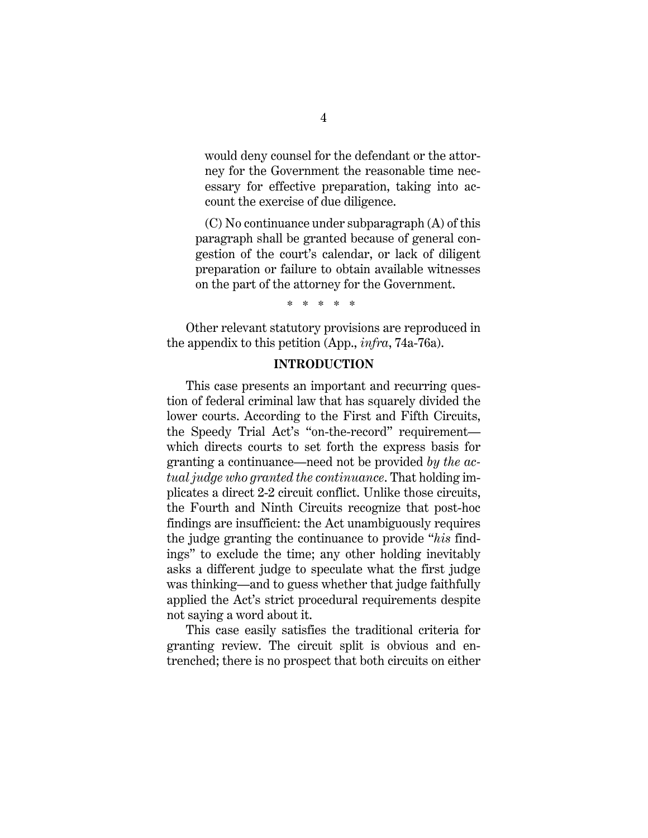would deny counsel for the defendant or the attorney for the Government the reasonable time necessary for effective preparation, taking into account the exercise of due diligence.

(C) No continuance under subparagraph (A) of this paragraph shall be granted because of general congestion of the court's calendar, or lack of diligent preparation or failure to obtain available witnesses on the part of the attorney for the Government.

\* \* \* \* \*

<span id="page-10-0"></span>Other relevant statutory provisions are reproduced in the appendix to this petition (App., *infra*, 74a-76a).

#### **INTRODUCTION**

This case presents an important and recurring question of federal criminal law that has squarely divided the lower courts. According to the First and Fifth Circuits, the Speedy Trial Act's "on-the-record" requirement which directs courts to set forth the express basis for granting a continuance—need not be provided *by the actual judge who granted the continuance*. That holding implicates a direct 2-2 circuit conflict. Unlike those circuits, the Fourth and Ninth Circuits recognize that post-hoc findings are insufficient: the Act unambiguously requires the judge granting the continuance to provide "*his* findings" to exclude the time; any other holding inevitably asks a different judge to speculate what the first judge was thinking—and to guess whether that judge faithfully applied the Act's strict procedural requirements despite not saying a word about it.

This case easily satisfies the traditional criteria for granting review. The circuit split is obvious and entrenched; there is no prospect that both circuits on either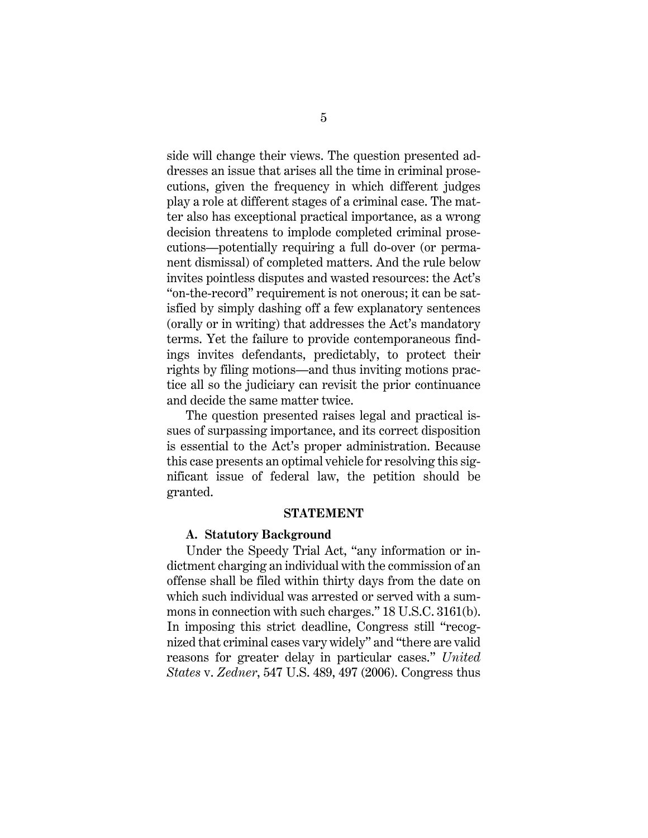side will change their views. The question presented addresses an issue that arises all the time in criminal prosecutions, given the frequency in which different judges play a role at different stages of a criminal case. The matter also has exceptional practical importance, as a wrong decision threatens to implode completed criminal prosecutions—potentially requiring a full do-over (or permanent dismissal) of completed matters. And the rule below invites pointless disputes and wasted resources: the Act's "on-the-record" requirement is not onerous; it can be satisfied by simply dashing off a few explanatory sentences (orally or in writing) that addresses the Act's mandatory terms. Yet the failure to provide contemporaneous findings invites defendants, predictably, to protect their rights by filing motions—and thus inviting motions practice all so the judiciary can revisit the prior continuance and decide the same matter twice.

The question presented raises legal and practical issues of surpassing importance, and its correct disposition is essential to the Act's proper administration. Because this case presents an optimal vehicle for resolving this significant issue of federal law, the petition should be granted.

#### **STATEMENT**

#### <span id="page-11-0"></span>**A. Statutory Background**

<span id="page-11-1"></span>Under the Speedy Trial Act, "any information or indictment charging an individual with the commission of an offense shall be filed within thirty days from the date on which such individual was arrested or served with a summons in connection with such charges." 18 U.S.C. 3161(b). In imposing this strict deadline, Congress still "recognized that criminal cases vary widely" and "there are valid reasons for greater delay in particular cases." *United States* v. *Zedner*, 547 U.S. 489, 497 (2006). Congress thus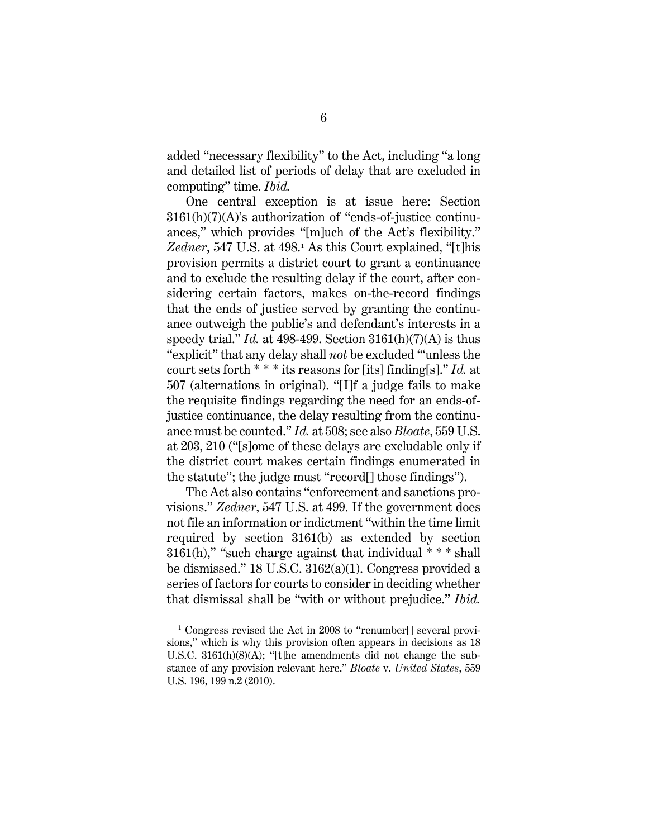added "necessary flexibility" to the Act, including "a long and detailed list of periods of delay that are excluded in computing" time. *Ibid.*

One central exception is at issue here: Section 3161(h)(7)(A)'s authorization of "ends-of-justice continuances," which provides "[m]uch of the Act's flexibility." Zedner, 547 U.S. at 498.<sup>[1](#page-12-0)</sup> As this Court explained, "[t]his provision permits a district court to grant a continuance and to exclude the resulting delay if the court, after considering certain factors, makes on-the-record findings that the ends of justice served by granting the continuance outweigh the public's and defendant's interests in a speedy trial." *Id.* at 498-499. Section  $3161(h)(7)(A)$  is thus "explicit" that any delay shall *not* be excluded "'unless the court sets forth \* \* \* its reasons for [its] finding[s]." *Id.* at 507 (alternations in original). "[I]f a judge fails to make the requisite findings regarding the need for an ends-ofjustice continuance, the delay resulting from the continuance must be counted." *Id.* at 508; see also *Bloate*, 559 U.S. at 203, 210 ("[s]ome of these delays are excludable only if the district court makes certain findings enumerated in the statute"; the judge must "record[] those findings").

The Act also contains "enforcement and sanctions provisions." *Zedner*, 547 U.S. at 499. If the government does not file an information or indictment "within the time limit required by section 3161(b) as extended by section  $3161(h)$ ," "such charge against that individual  $***$  shall be dismissed." 18 U.S.C. 3162(a)(1). Congress provided a series of factors for courts to consider in deciding whether that dismissal shall be "with or without prejudice." *Ibid.*

<span id="page-12-0"></span><sup>&</sup>lt;sup>1</sup> Congress revised the Act in 2008 to "renumber[] several provisions," which is why this provision often appears in decisions as 18 U.S.C. 3161(h)(8)(A); "[t]he amendments did not change the substance of any provision relevant here." *Bloate* v. *United States*, 559 U.S. 196, 199 n.2 (2010).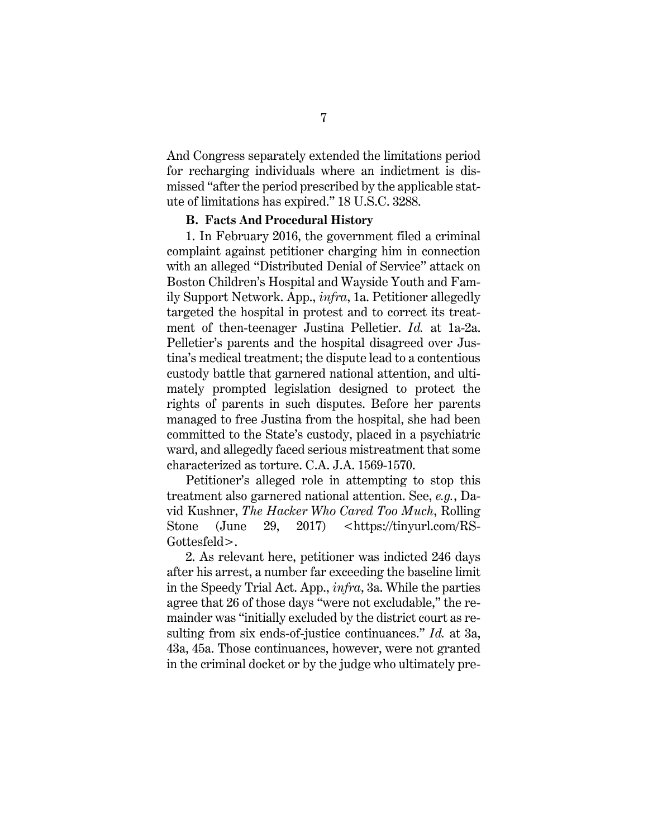And Congress separately extended the limitations period for recharging individuals where an indictment is dismissed "after the period prescribed by the applicable statute of limitations has expired." 18 U.S.C. 3288.

#### **B. Facts And Procedural History**

<span id="page-13-0"></span>1. In February 2016, the government filed a criminal complaint against petitioner charging him in connection with an alleged "Distributed Denial of Service" attack on Boston Children's Hospital and Wayside Youth and Family Support Network. App., *infra*, 1a. Petitioner allegedly targeted the hospital in protest and to correct its treatment of then-teenager Justina Pelletier. *Id.* at 1a-2a. Pelletier's parents and the hospital disagreed over Justina's medical treatment; the dispute lead to a contentious custody battle that garnered national attention, and ultimately prompted legislation designed to protect the rights of parents in such disputes. Before her parents managed to free Justina from the hospital, she had been committed to the State's custody, placed in a psychiatric ward, and allegedly faced serious mistreatment that some characterized as torture. C.A. J.A. 1569-1570.

Petitioner's alleged role in attempting to stop this treatment also garnered national attention. See, *e.g.*, David Kushner, *The Hacker Who Cared Too Much*, Rolling Stone (June 29, 2017) <https://tinyurl.com/RS-Gottesfeld>.

2. As relevant here, petitioner was indicted 246 days after his arrest, a number far exceeding the baseline limit in the Speedy Trial Act. App., *infra*, 3a. While the parties agree that 26 of those days "were not excludable," the remainder was "initially excluded by the district court as resulting from six ends-of-justice continuances." *Id.* at 3a, 43a, 45a. Those continuances, however, were not granted in the criminal docket or by the judge who ultimately pre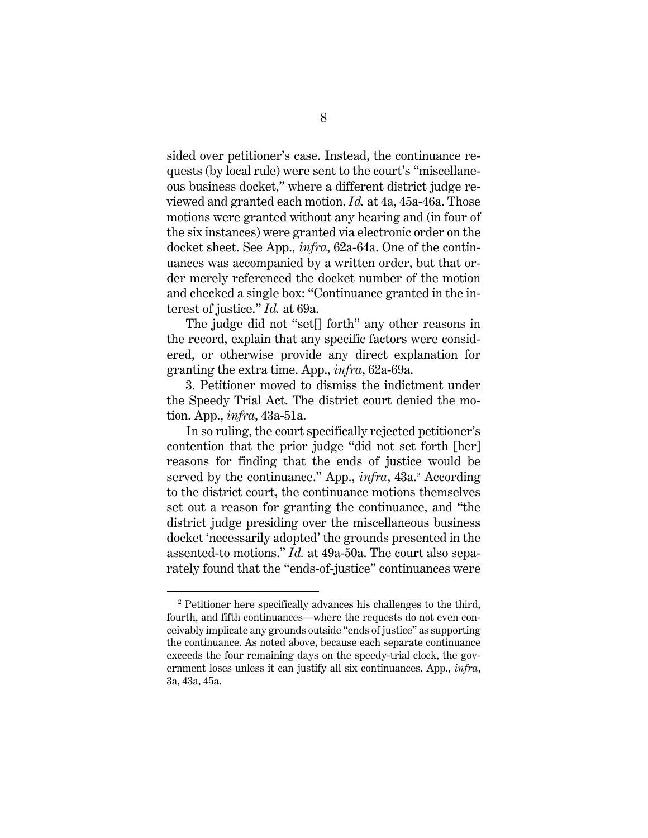sided over petitioner's case. Instead, the continuance requests (by local rule) were sent to the court's "miscellaneous business docket," where a different district judge reviewed and granted each motion. *Id.* at 4a, 45a-46a. Those motions were granted without any hearing and (in four of the six instances) were granted via electronic order on the docket sheet. See App., *infra*, 62a-64a. One of the continuances was accompanied by a written order, but that order merely referenced the docket number of the motion and checked a single box: "Continuance granted in the interest of justice." *Id.* at 69a.

The judge did not "set[] forth" any other reasons in the record, explain that any specific factors were considered, or otherwise provide any direct explanation for granting the extra time. App., *infra*, 62a-69a.

3. Petitioner moved to dismiss the indictment under the Speedy Trial Act. The district court denied the motion. App., *infra*, 43a-51a.

In so ruling, the court specifically rejected petitioner's contention that the prior judge "did not set forth [her] reasons for finding that the ends of justice would be served by the continuance." App., *infra*, 43a.<sup>[2](#page-14-0)</sup> According to the district court, the continuance motions themselves set out a reason for granting the continuance, and "the district judge presiding over the miscellaneous business docket 'necessarily adopted' the grounds presented in the assented-to motions." *Id.* at 49a-50a. The court also separately found that the "ends-of-justice" continuances were

<span id="page-14-0"></span><sup>&</sup>lt;sup>2</sup> Petitioner here specifically advances his challenges to the third, fourth, and fifth continuances—where the requests do not even conceivably implicate any grounds outside "ends of justice" as supporting the continuance. As noted above, because each separate continuance exceeds the four remaining days on the speedy-trial clock, the government loses unless it can justify all six continuances. App., *infra*, 3a, 43a, 45a.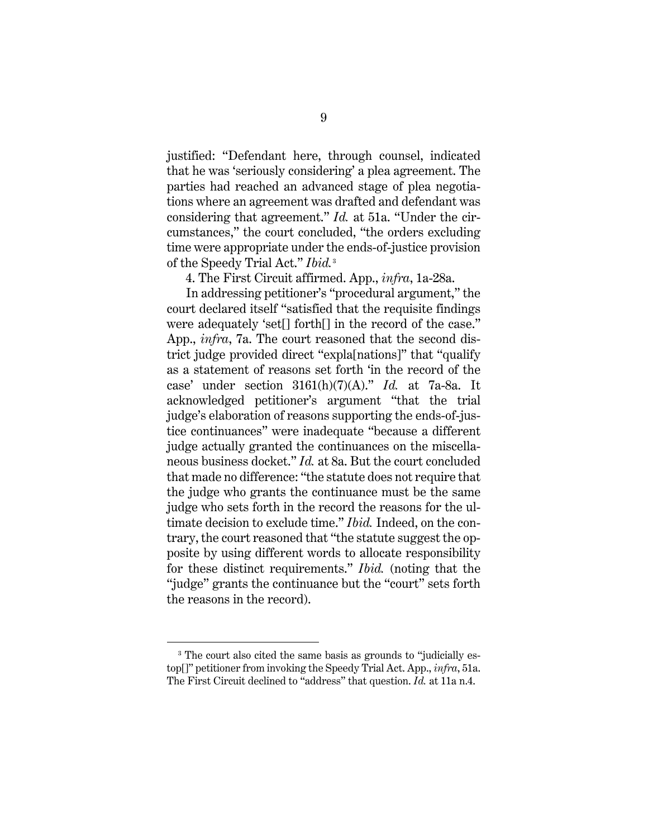justified: "Defendant here, through counsel, indicated that he was 'seriously considering' a plea agreement. The parties had reached an advanced stage of plea negotiations where an agreement was drafted and defendant was considering that agreement." *Id.* at 51a. "Under the circumstances," the court concluded, "the orders excluding time were appropriate under the ends-of-justice provision of the Speedy Trial Act." *Ibid.*[3](#page-15-0)

4. The First Circuit affirmed. App., *infra*, 1a-28a.

In addressing petitioner's "procedural argument," the court declared itself "satisfied that the requisite findings were adequately 'set[] forth[] in the record of the case." App., *infra*, 7a. The court reasoned that the second district judge provided direct "expla[nations]" that "qualify as a statement of reasons set forth 'in the record of the case' under section 3161(h)(7)(A)." *Id.* at 7a-8a. It acknowledged petitioner's argument "that the trial judge's elaboration of reasons supporting the ends-of-justice continuances" were inadequate "because a different judge actually granted the continuances on the miscellaneous business docket." *Id.* at 8a. But the court concluded that made no difference: "the statute does not require that the judge who grants the continuance must be the same judge who sets forth in the record the reasons for the ultimate decision to exclude time." *Ibid.* Indeed, on the contrary, the court reasoned that "the statute suggest the opposite by using different words to allocate responsibility for these distinct requirements." *Ibid.* (noting that the "judge" grants the continuance but the "court" sets forth the reasons in the record).

<span id="page-15-0"></span><sup>&</sup>lt;sup>3</sup> The court also cited the same basis as grounds to "judicially estop[]" petitioner from invoking the Speedy Trial Act. App., *infra*, 51a. The First Circuit declined to "address" that question. *Id.* at 11a n.4.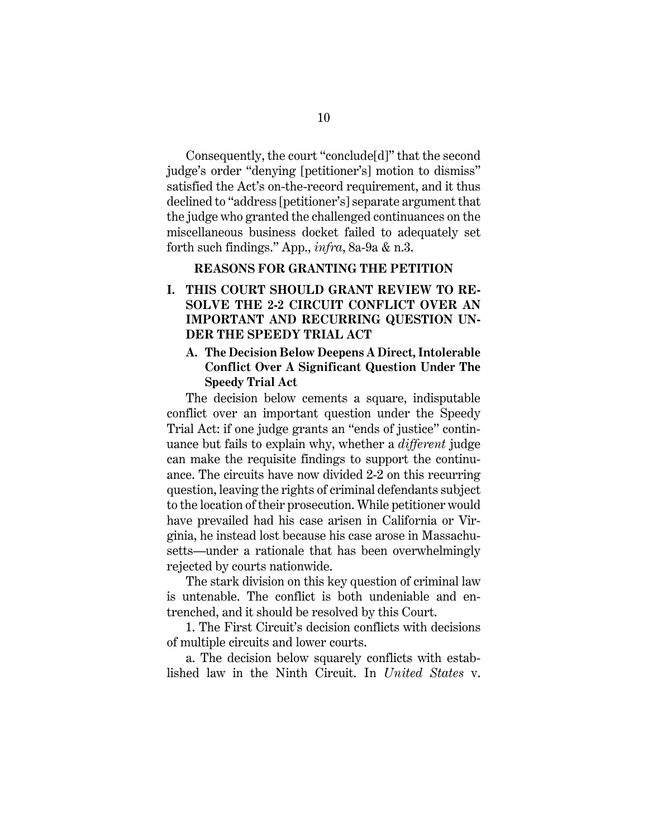Consequently, the court "conclude[d]" that the second judge's order "denying [petitioner's] motion to dismiss" satisfied the Act's on-the-record requirement, and it thus declined to "address [petitioner's] separate argument that the judge who granted the challenged continuances on the miscellaneous business docket failed to adequately set forth such findings." App., *infra*, 8a-9a & n.3.

#### **REASONS FOR GRANTING THE PETITION**

## <span id="page-16-1"></span><span id="page-16-0"></span>**I. THIS COURT SHOULD GRANT REVIEW TO RE-SOLVE THE 2-2 CIRCUIT CONFLICT OVER AN IMPORTANT AND RECURRING QUESTION UN-DER THE SPEEDY TRIAL ACT**

## <span id="page-16-2"></span>**A. The Decision Below Deepens A Direct, Intolerable Conflict Over A Significant Question Under The Speedy Trial Act**

The decision below cements a square, indisputable conflict over an important question under the Speedy Trial Act: if one judge grants an "ends of justice" continuance but fails to explain why, whether a *different* judge can make the requisite findings to support the continuance. The circuits have now divided 2-2 on this recurring question, leaving the rights of criminal defendants subject to the location of their prosecution. While petitioner would have prevailed had his case arisen in California or Virginia, he instead lost because his case arose in Massachusetts—under a rationale that has been overwhelmingly rejected by courts nationwide.

The stark division on this key question of criminal law is untenable. The conflict is both undeniable and entrenched, and it should be resolved by this Court.

1. The First Circuit's decision conflicts with decisions of multiple circuits and lower courts.

a. The decision below squarely conflicts with established law in the Ninth Circuit. In *United States* v.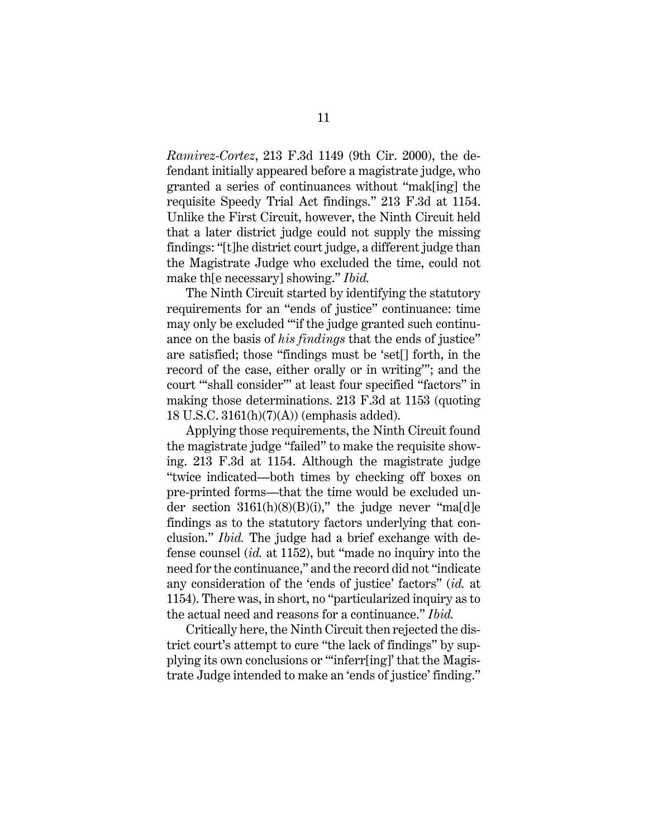*Ramirez-Cortez*, 213 F.3d 1149 (9th Cir. 2000), the defendant initially appeared before a magistrate judge, who granted a series of continuances without "mak[ing] the requisite Speedy Trial Act findings." 213 F.3d at 1154. Unlike the First Circuit, however, the Ninth Circuit held that a later district judge could not supply the missing findings: "[t]he district court judge, a different judge than the Magistrate Judge who excluded the time, could not make th[e necessary] showing." *Ibid.*

The Ninth Circuit started by identifying the statutory requirements for an "ends of justice" continuance: time may only be excluded "'if the judge granted such continuance on the basis of *his findings* that the ends of justice" are satisfied; those "findings must be 'set[] forth, in the record of the case, either orally or in writing'"; and the court "'shall consider'" at least four specified "factors" in making those determinations. 213 F.3d at 1153 (quoting 18 U.S.C. 3161(h)(7)(A)) (emphasis added).

Applying those requirements, the Ninth Circuit found the magistrate judge "failed" to make the requisite showing. 213 F.3d at 1154. Although the magistrate judge "twice indicated—both times by checking off boxes on pre-printed forms—that the time would be excluded under section  $3161(h)(8)(B)(i)$ ," the judge never "ma[d]e findings as to the statutory factors underlying that conclusion." *Ibid.* The judge had a brief exchange with defense counsel (*id.* at 1152), but "made no inquiry into the need for the continuance," and the record did not "indicate any consideration of the 'ends of justice' factors" (*id.* at 1154). There was, in short, no "particularized inquiry as to the actual need and reasons for a continuance." *Ibid.*

Critically here, the Ninth Circuit then rejected the district court's attempt to cure "the lack of findings" by supplying its own conclusions or "'inferr[ing]' that the Magistrate Judge intended to make an 'ends of justice' finding."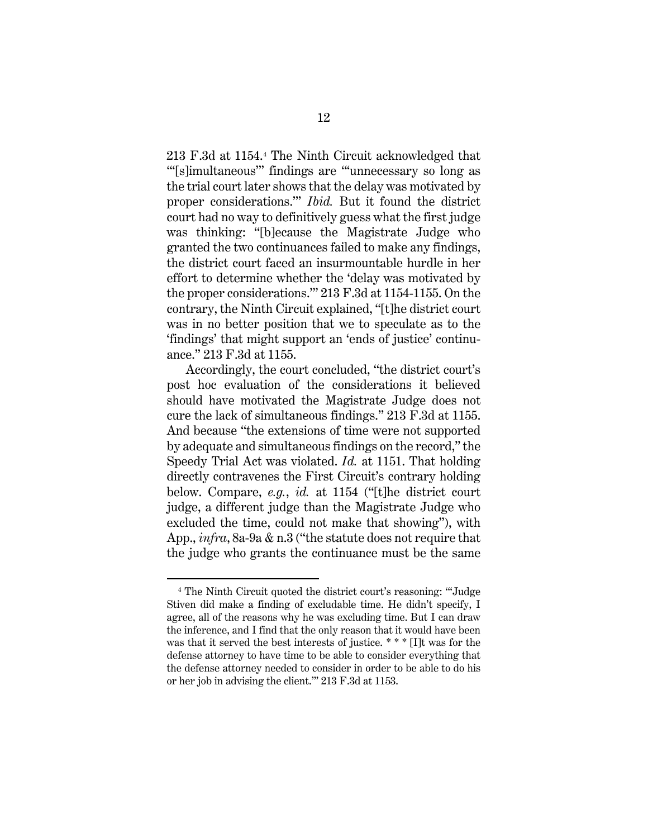213 F.3d at 1154.[4](#page-18-0) The Ninth Circuit acknowledged that "'[s]imultaneous'" findings are "'unnecessary so long as the trial court later shows that the delay was motivated by proper considerations.'" *Ibid.* But it found the district court had no way to definitively guess what the first judge was thinking: "[b]ecause the Magistrate Judge who granted the two continuances failed to make any findings, the district court faced an insurmountable hurdle in her effort to determine whether the 'delay was motivated by the proper considerations.'" 213 F.3d at 1154-1155. On the contrary, the Ninth Circuit explained, "[t]he district court was in no better position that we to speculate as to the 'findings' that might support an 'ends of justice' continuance." 213 F.3d at 1155.

Accordingly, the court concluded, "the district court's post hoc evaluation of the considerations it believed should have motivated the Magistrate Judge does not cure the lack of simultaneous findings." 213 F.3d at 1155. And because "the extensions of time were not supported by adequate and simultaneous findings on the record," the Speedy Trial Act was violated. *Id.* at 1151. That holding directly contravenes the First Circuit's contrary holding below. Compare, *e.g.*, *id.* at 1154 ("[t]he district court judge, a different judge than the Magistrate Judge who excluded the time, could not make that showing"), with App., *infra*, 8a-9a & n.3 ("the statute does not require that the judge who grants the continuance must be the same

<span id="page-18-0"></span><sup>4</sup> The Ninth Circuit quoted the district court's reasoning: "'Judge Stiven did make a finding of excludable time. He didn't specify, I agree, all of the reasons why he was excluding time. But I can draw the inference, and I find that the only reason that it would have been was that it served the best interests of justice. \* \* \* [I]t was for the defense attorney to have time to be able to consider everything that the defense attorney needed to consider in order to be able to do his or her job in advising the client.'" 213 F.3d at 1153.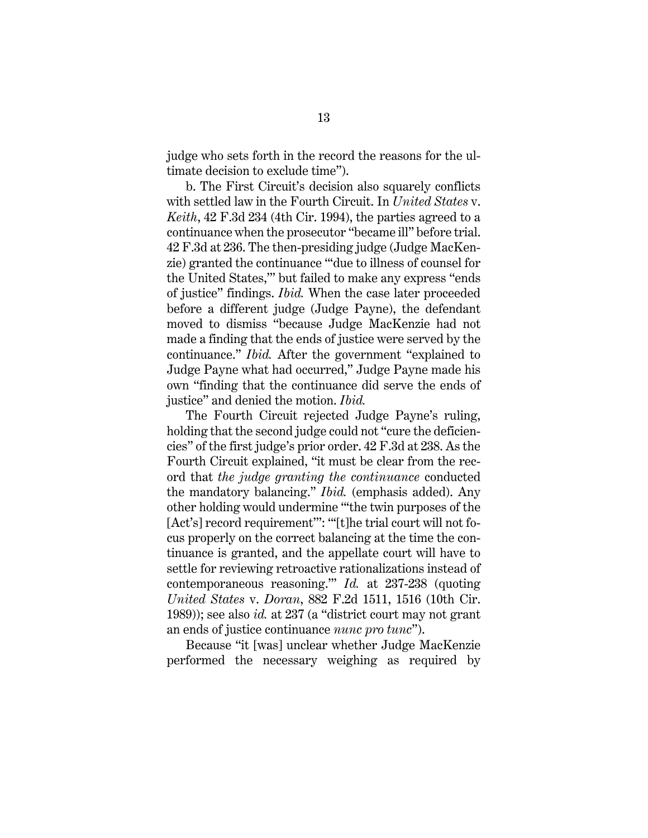judge who sets forth in the record the reasons for the ultimate decision to exclude time").

b. The First Circuit's decision also squarely conflicts with settled law in the Fourth Circuit. In *United States* v. *Keith*, 42 F.3d 234 (4th Cir. 1994), the parties agreed to a continuance when the prosecutor "became ill" before trial. 42 F.3d at 236. The then-presiding judge (Judge MacKenzie) granted the continuance "'due to illness of counsel for the United States,'" but failed to make any express "ends of justice" findings. *Ibid.* When the case later proceeded before a different judge (Judge Payne), the defendant moved to dismiss "because Judge MacKenzie had not made a finding that the ends of justice were served by the continuance." *Ibid.* After the government "explained to Judge Payne what had occurred," Judge Payne made his own "finding that the continuance did serve the ends of justice" and denied the motion. *Ibid.*

The Fourth Circuit rejected Judge Payne's ruling, holding that the second judge could not "cure the deficiencies" of the first judge's prior order. 42 F.3d at 238. As the Fourth Circuit explained, "it must be clear from the record that *the judge granting the continuance* conducted the mandatory balancing." *Ibid.* (emphasis added). Any other holding would undermine "'the twin purposes of the [Act's] record requirement"": ""[t]he trial court will not focus properly on the correct balancing at the time the continuance is granted, and the appellate court will have to settle for reviewing retroactive rationalizations instead of contemporaneous reasoning.'" *Id.* at 237-238 (quoting *United States* v. *Doran*, 882 F.2d 1511, 1516 (10th Cir. 1989)); see also *id.* at 237 (a "district court may not grant an ends of justice continuance *nunc pro tunc*").

Because "it [was] unclear whether Judge MacKenzie performed the necessary weighing as required by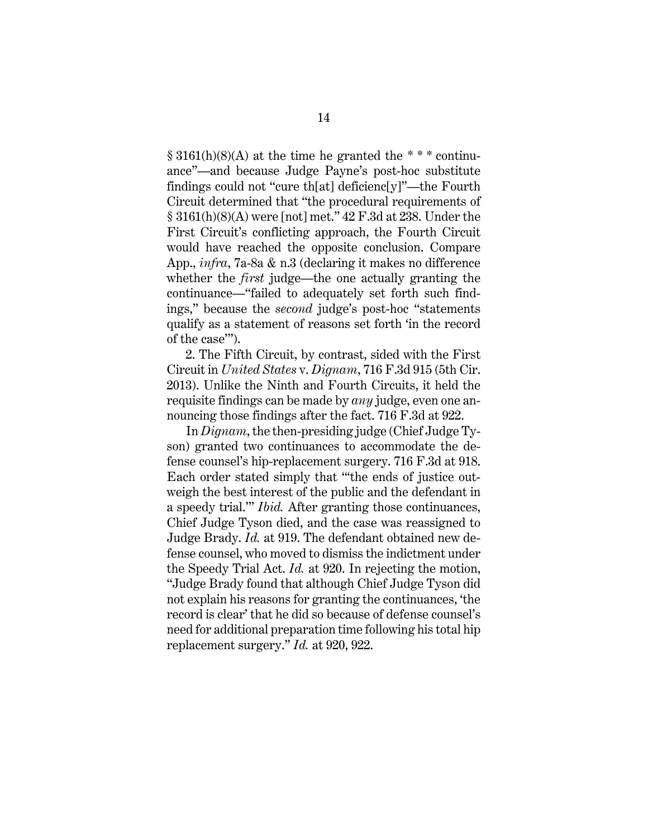$§ 3161(h)(8)(A)$  at the time he granted the \*\*\* continuance"—and because Judge Payne's post-hoc substitute findings could not "cure th[at] deficienc[y]"—the Fourth Circuit determined that "the procedural requirements of § 3161(h)(8)(A) were [not] met." 42 F.3d at 238. Under the First Circuit's conflicting approach, the Fourth Circuit would have reached the opposite conclusion. Compare App., *infra*, 7a-8a & n.3 (declaring it makes no difference whether the *first* judge—the one actually granting the continuance—"failed to adequately set forth such findings," because the *second* judge's post-hoc "statements qualify as a statement of reasons set forth 'in the record of the case'").

2. The Fifth Circuit, by contrast, sided with the First Circuit in *United States* v. *Dignam*, 716 F.3d 915 (5th Cir. 2013). Unlike the Ninth and Fourth Circuits, it held the requisite findings can be made by *any* judge, even one announcing those findings after the fact. 716 F.3d at 922.

In *Dignam*, the then-presiding judge (Chief Judge Tyson) granted two continuances to accommodate the defense counsel's hip-replacement surgery. 716 F.3d at 918. Each order stated simply that "'the ends of justice outweigh the best interest of the public and the defendant in a speedy trial.'" *Ibid.* After granting those continuances, Chief Judge Tyson died, and the case was reassigned to Judge Brady. *Id.* at 919. The defendant obtained new defense counsel, who moved to dismiss the indictment under the Speedy Trial Act. *Id.* at 920. In rejecting the motion, "Judge Brady found that although Chief Judge Tyson did not explain his reasons for granting the continuances, 'the record is clear' that he did so because of defense counsel's need for additional preparation time following his total hip replacement surgery." *Id.* at 920, 922.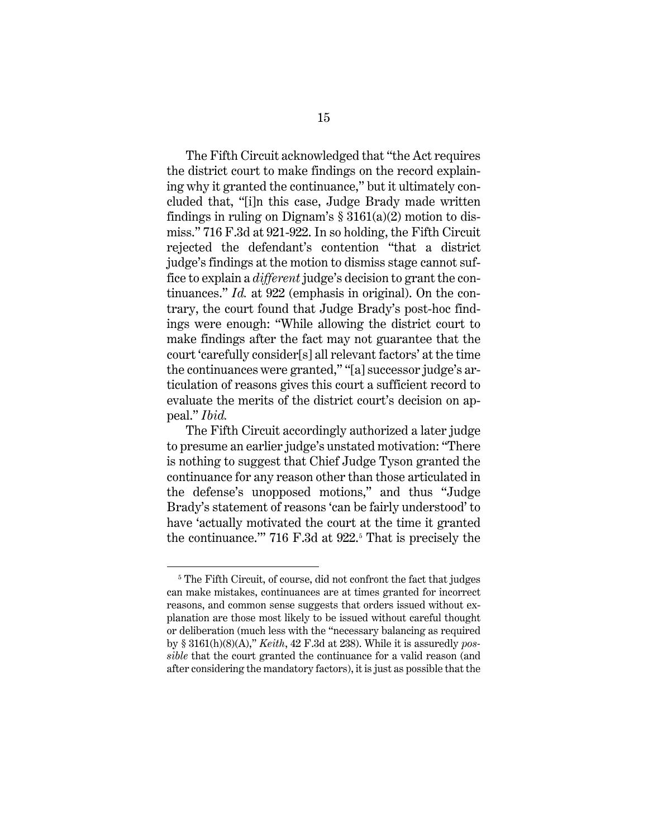The Fifth Circuit acknowledged that "the Act requires the district court to make findings on the record explaining why it granted the continuance," but it ultimately concluded that, "[i]n this case, Judge Brady made written findings in ruling on Dignam's  $\S 3161(a)(2)$  motion to dismiss." 716 F.3d at 921-922. In so holding, the Fifth Circuit rejected the defendant's contention "that a district judge's findings at the motion to dismiss stage cannot suffice to explain a *different* judge's decision to grant the continuances." *Id.* at 922 (emphasis in original). On the contrary, the court found that Judge Brady's post-hoc findings were enough: "While allowing the district court to make findings after the fact may not guarantee that the court 'carefully consider[s] all relevant factors' at the time the continuances were granted," "[a] successor judge's articulation of reasons gives this court a sufficient record to evaluate the merits of the district court's decision on appeal." *Ibid.*

The Fifth Circuit accordingly authorized a later judge to presume an earlier judge's unstated motivation: "There is nothing to suggest that Chief Judge Tyson granted the continuance for any reason other than those articulated in the defense's unopposed motions," and thus "Judge Brady's statement of reasons 'can be fairly understood' to have 'actually motivated the court at the time it granted the continuance." 716 F.3d at  $922$ <sup>[5](#page-21-0)</sup> That is precisely the

<span id="page-21-0"></span><sup>&</sup>lt;sup>5</sup> The Fifth Circuit, of course, did not confront the fact that judges can make mistakes, continuances are at times granted for incorrect reasons, and common sense suggests that orders issued without explanation are those most likely to be issued without careful thought or deliberation (much less with the "necessary balancing as required by § 3161(h)(8)(A)," *Keith*, 42 F.3d at 238). While it is assuredly *possible* that the court granted the continuance for a valid reason (and after considering the mandatory factors), it is just as possible that the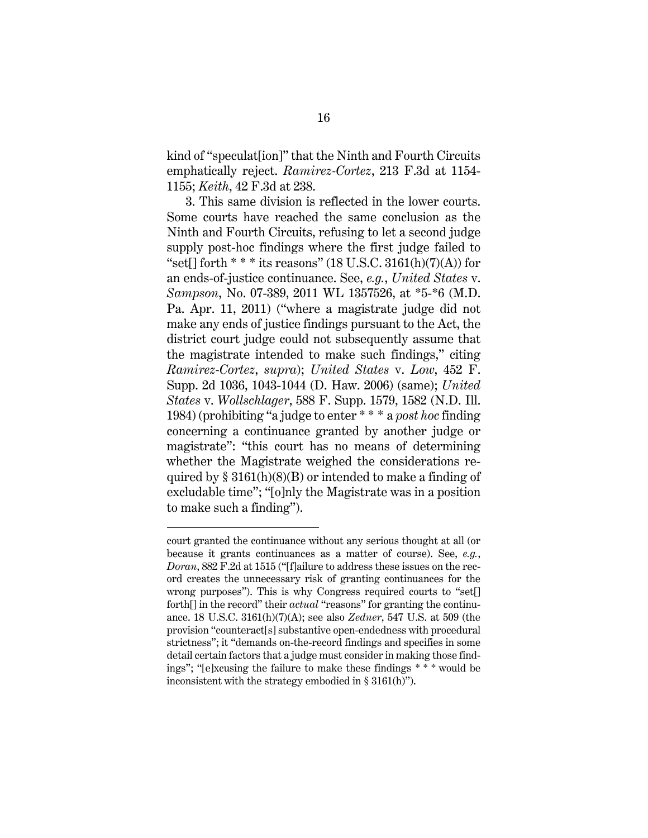kind of "speculat[ion]" that the Ninth and Fourth Circuits emphatically reject. *Ramirez-Cortez*, 213 F.3d at 1154- 1155; *Keith*, 42 F.3d at 238.

3. This same division is reflected in the lower courts. Some courts have reached the same conclusion as the Ninth and Fourth Circuits, refusing to let a second judge supply post-hoc findings where the first judge failed to "set[] forth  $**$  \* its reasons" (18 U.S.C. 3161(h)(7)(A)) for an ends-of-justice continuance. See, *e.g.*, *United States* v. *Sampson*, No. 07-389, 2011 WL 1357526, at \*5-\*6 (M.D. Pa. Apr. 11, 2011) ("where a magistrate judge did not make any ends of justice findings pursuant to the Act, the district court judge could not subsequently assume that the magistrate intended to make such findings," citing *Ramirez-Cortez*, *supra*); *United States* v. *Low*, 452 F. Supp. 2d 1036, 1043-1044 (D. Haw. 2006) (same); *United States* v. *Wollschlager*, 588 F. Supp. 1579, 1582 (N.D. Ill. 1984) (prohibiting "a judge to enter \* \* \* a *post hoc* finding concerning a continuance granted by another judge or magistrate": "this court has no means of determining whether the Magistrate weighed the considerations required by  $\S 3161(h)(8)(B)$  or intended to make a finding of excludable time"; "[o]nly the Magistrate was in a position to make such a finding").

court granted the continuance without any serious thought at all (or because it grants continuances as a matter of course). See, *e.g.*, *Doran*, 882 F.2d at 1515 ("[f]ailure to address these issues on the record creates the unnecessary risk of granting continuances for the wrong purposes"). This is why Congress required courts to "set[] forth[] in the record" their *actual* "reasons" for granting the continuance. 18 U.S.C. 3161(h)(7)(A); see also *Zedner*, 547 U.S. at 509 (the provision "counteract[s] substantive open-endedness with procedural strictness"; it "demands on-the-record findings and specifies in some detail certain factors that a judge must consider in making those findings"; "[e]xcusing the failure to make these findings \* \* \* would be inconsistent with the strategy embodied in § 3161(h)").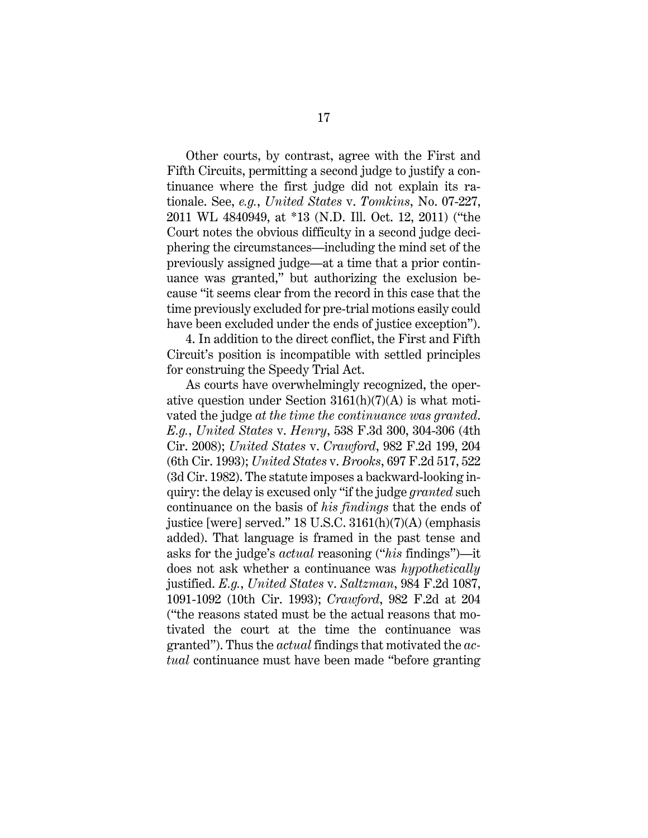Other courts, by contrast, agree with the First and Fifth Circuits, permitting a second judge to justify a continuance where the first judge did not explain its rationale. See, *e.g.*, *United States* v. *Tomkins*, No. 07-227, 2011 WL 4840949, at \*13 (N.D. Ill. Oct. 12, 2011) ("the Court notes the obvious difficulty in a second judge deciphering the circumstances—including the mind set of the previously assigned judge—at a time that a prior continuance was granted," but authorizing the exclusion because "it seems clear from the record in this case that the time previously excluded for pre-trial motions easily could have been excluded under the ends of justice exception").

4. In addition to the direct conflict, the First and Fifth Circuit's position is incompatible with settled principles for construing the Speedy Trial Act.

As courts have overwhelmingly recognized, the operative question under Section 3161(h)(7)(A) is what motivated the judge *at the time the continuance was granted*. *E.g.*, *United States* v. *Henry*, 538 F.3d 300, 304-306 (4th Cir. 2008); *United States* v. *Crawford*, 982 F.2d 199, 204 (6th Cir. 1993); *United States* v. *Brooks*, 697 F.2d 517, 522 (3d Cir. 1982). The statute imposes a backward-looking inquiry: the delay is excused only "if the judge *granted* such continuance on the basis of *his findings* that the ends of justice [were] served." 18 U.S.C. 3161(h)(7)(A) (emphasis added). That language is framed in the past tense and asks for the judge's *actual* reasoning ("*his* findings")—it does not ask whether a continuance was *hypothetically* justified. *E.g.*, *United States* v. *Saltzman*, 984 F.2d 1087, 1091-1092 (10th Cir. 1993); *Crawford*, 982 F.2d at 204 ("the reasons stated must be the actual reasons that motivated the court at the time the continuance was granted"). Thus the *actual* findings that motivated the *actual* continuance must have been made "before granting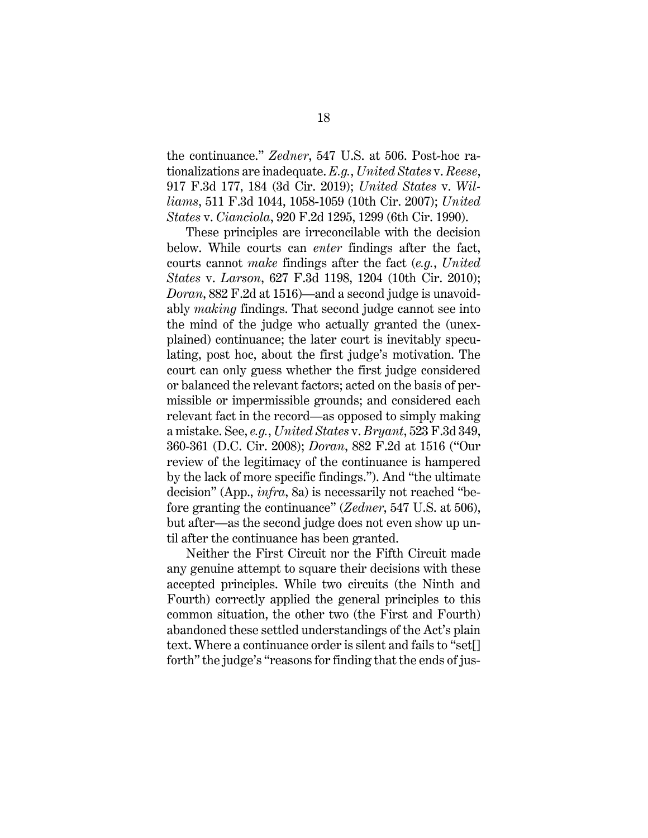the continuance." *Zedner*, 547 U.S. at 506. Post-hoc rationalizations are inadequate. *E.g.*, *United States* v. *Reese*, 917 F.3d 177, 184 (3d Cir. 2019); *United States* v. *Williams*, 511 F.3d 1044, 1058-1059 (10th Cir. 2007); *United States* v. *Cianciola*, 920 F.2d 1295, 1299 (6th Cir. 1990).

These principles are irreconcilable with the decision below. While courts can *enter* findings after the fact, courts cannot *make* findings after the fact (*e.g.*, *United States* v. *Larson*, 627 F.3d 1198, 1204 (10th Cir. 2010); *Doran*, 882 F.2d at 1516)—and a second judge is unavoidably *making* findings. That second judge cannot see into the mind of the judge who actually granted the (unexplained) continuance; the later court is inevitably speculating, post hoc, about the first judge's motivation. The court can only guess whether the first judge considered or balanced the relevant factors; acted on the basis of permissible or impermissible grounds; and considered each relevant fact in the record—as opposed to simply making a mistake. See, *e.g.*, *United States* v. *Bryant*, 523 F.3d 349, 360-361 (D.C. Cir. 2008); *Doran*, 882 F.2d at 1516 ("Our review of the legitimacy of the continuance is hampered by the lack of more specific findings."). And "the ultimate decision" (App., *infra*, 8a) is necessarily not reached "before granting the continuance" (*Zedner*, 547 U.S. at 506), but after—as the second judge does not even show up until after the continuance has been granted.

Neither the First Circuit nor the Fifth Circuit made any genuine attempt to square their decisions with these accepted principles. While two circuits (the Ninth and Fourth) correctly applied the general principles to this common situation, the other two (the First and Fourth) abandoned these settled understandings of the Act's plain text. Where a continuance order is silent and fails to "set[] forth" the judge's "reasons for finding that the ends of jus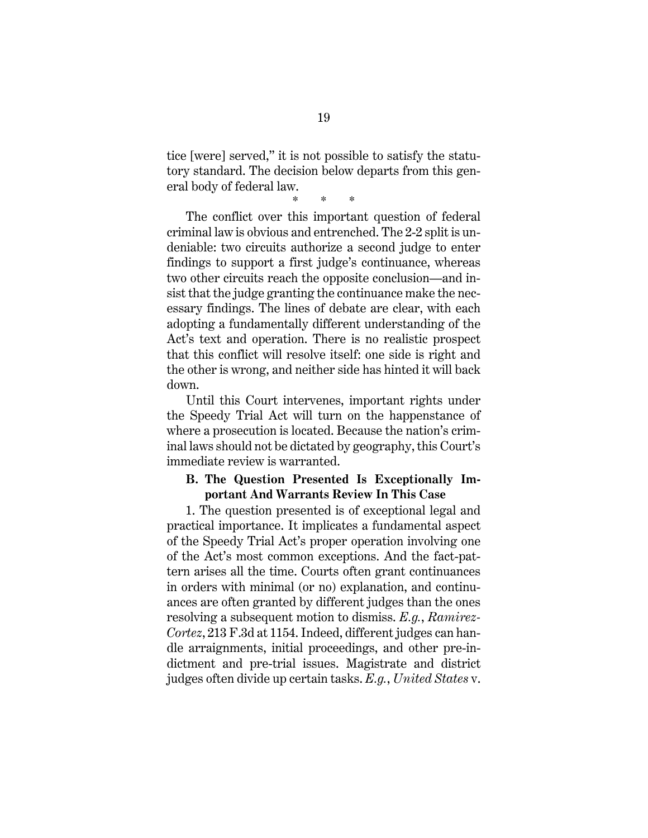tice [were] served," it is not possible to satisfy the statutory standard. The decision below departs from this general body of federal law.

\* \* \*

The conflict over this important question of federal criminal law is obvious and entrenched. The 2-2 split is undeniable: two circuits authorize a second judge to enter findings to support a first judge's continuance, whereas two other circuits reach the opposite conclusion—and insist that the judge granting the continuance make the necessary findings. The lines of debate are clear, with each adopting a fundamentally different understanding of the Act's text and operation. There is no realistic prospect that this conflict will resolve itself: one side is right and the other is wrong, and neither side has hinted it will back down.

Until this Court intervenes, important rights under the Speedy Trial Act will turn on the happenstance of where a prosecution is located. Because the nation's criminal laws should not be dictated by geography, this Court's immediate review is warranted.

#### <span id="page-25-0"></span>**B. The Question Presented Is Exceptionally Important And Warrants Review In This Case**

1. The question presented is of exceptional legal and practical importance. It implicates a fundamental aspect of the Speedy Trial Act's proper operation involving one of the Act's most common exceptions. And the fact-pattern arises all the time. Courts often grant continuances in orders with minimal (or no) explanation, and continuances are often granted by different judges than the ones resolving a subsequent motion to dismiss. *E.g.*, *Ramirez-Cortez*, 213 F.3d at 1154. Indeed, different judges can handle arraignments, initial proceedings, and other pre-indictment and pre-trial issues. Magistrate and district judges often divide up certain tasks. *E.g.*, *United States* v.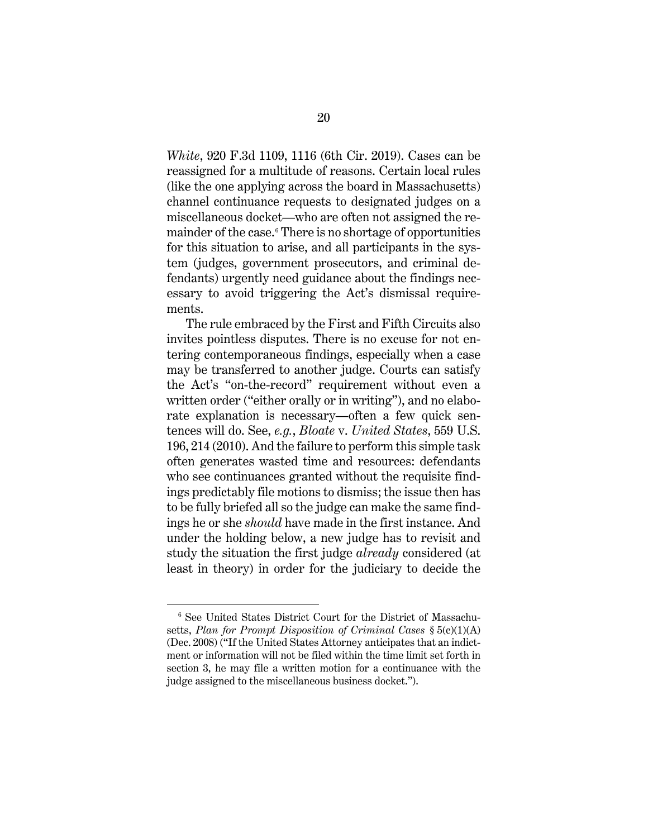*White*, 920 F.3d 1109, 1116 (6th Cir. 2019). Cases can be reassigned for a multitude of reasons. Certain local rules (like the one applying across the board in Massachusetts) channel continuance requests to designated judges on a miscellaneous docket—who are often not assigned the remainder of the case.[6](#page-26-0) There is no shortage of opportunities for this situation to arise, and all participants in the system (judges, government prosecutors, and criminal defendants) urgently need guidance about the findings necessary to avoid triggering the Act's dismissal requirements.

The rule embraced by the First and Fifth Circuits also invites pointless disputes. There is no excuse for not entering contemporaneous findings, especially when a case may be transferred to another judge. Courts can satisfy the Act's "on-the-record" requirement without even a written order ("either orally or in writing"), and no elaborate explanation is necessary—often a few quick sentences will do. See, *e.g.*, *Bloate* v. *United States*, 559 U.S. 196, 214 (2010). And the failure to perform this simple task often generates wasted time and resources: defendants who see continuances granted without the requisite findings predictably file motions to dismiss; the issue then has to be fully briefed all so the judge can make the same findings he or she *should* have made in the first instance. And under the holding below, a new judge has to revisit and study the situation the first judge *already* considered (at least in theory) in order for the judiciary to decide the

<span id="page-26-0"></span><sup>6</sup> See United States District Court for the District of Massachusetts, *Plan for Prompt Disposition of Criminal Cases* § 5(c)(1)(A) (Dec. 2008) ("If the United States Attorney anticipates that an indictment or information will not be filed within the time limit set forth in section 3, he may file a written motion for a continuance with the judge assigned to the miscellaneous business docket.").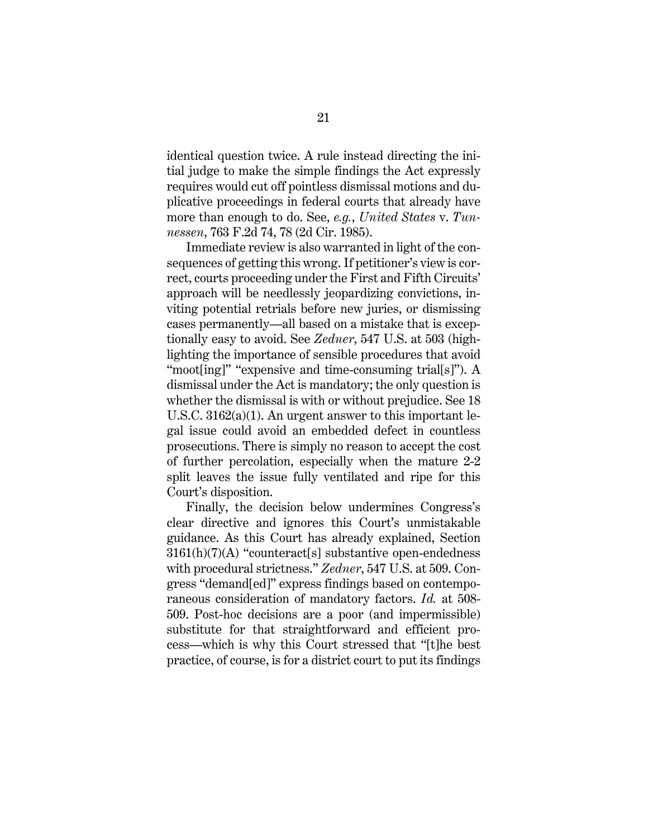identical question twice. A rule instead directing the initial judge to make the simple findings the Act expressly requires would cut off pointless dismissal motions and duplicative proceedings in federal courts that already have more than enough to do. See, *e.g.*, *United States* v. *Tunnessen*, 763 F.2d 74, 78 (2d Cir. 1985).

Immediate review is also warranted in light of the consequences of getting this wrong. If petitioner's view is correct, courts proceeding under the First and Fifth Circuits' approach will be needlessly jeopardizing convictions, inviting potential retrials before new juries, or dismissing cases permanently—all based on a mistake that is exceptionally easy to avoid. See *Zedner*, 547 U.S. at 503 (highlighting the importance of sensible procedures that avoid "moot[ing]" "expensive and time-consuming trial[s]"). A dismissal under the Act is mandatory; the only question is whether the dismissal is with or without prejudice. See 18 U.S.C. 3162(a)(1). An urgent answer to this important legal issue could avoid an embedded defect in countless prosecutions. There is simply no reason to accept the cost of further percolation, especially when the mature 2-2 split leaves the issue fully ventilated and ripe for this Court's disposition.

Finally, the decision below undermines Congress's clear directive and ignores this Court's unmistakable guidance. As this Court has already explained, Section 3161(h)(7)(A) "counteract[s] substantive open-endedness with procedural strictness." *Zedner*, 547 U.S. at 509. Congress "demand[ed]" express findings based on contemporaneous consideration of mandatory factors. *Id.* at 508- 509. Post-hoc decisions are a poor (and impermissible) substitute for that straightforward and efficient process—which is why this Court stressed that "[t]he best practice, of course, is for a district court to put its findings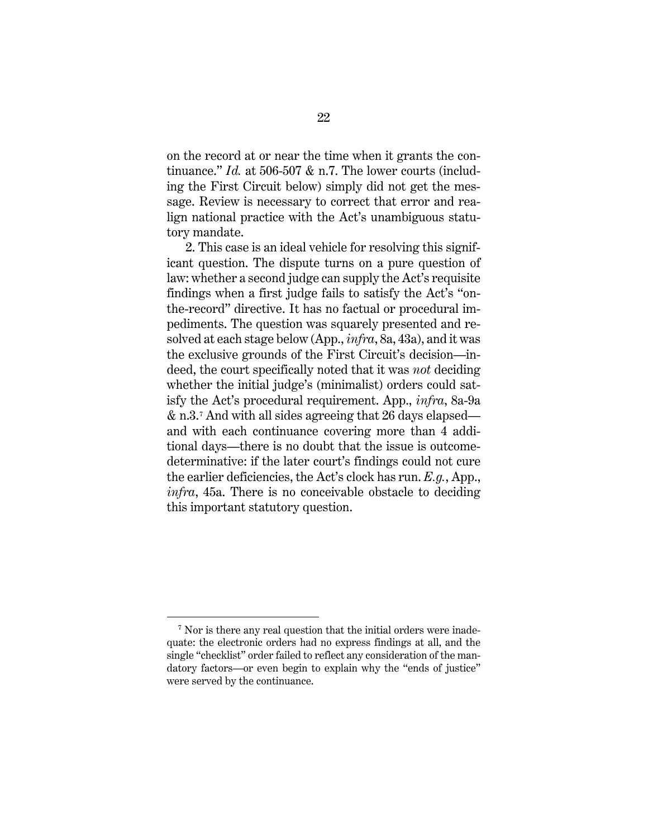on the record at or near the time when it grants the continuance." *Id.* at 506-507 & n.7. The lower courts (including the First Circuit below) simply did not get the message. Review is necessary to correct that error and realign national practice with the Act's unambiguous statutory mandate.

2. This case is an ideal vehicle for resolving this significant question. The dispute turns on a pure question of law: whether a second judge can supply the Act's requisite findings when a first judge fails to satisfy the Act's "onthe-record" directive. It has no factual or procedural impediments. The question was squarely presented and resolved at each stage below (App., *infra*, 8a, 43a), and it was the exclusive grounds of the First Circuit's decision—indeed, the court specifically noted that it was *not* deciding whether the initial judge's (minimalist) orders could satisfy the Act's procedural requirement. App., *infra*, 8a-9a & n.3.[7](#page-28-0) And with all sides agreeing that 26 days elapsed and with each continuance covering more than 4 additional days—there is no doubt that the issue is outcomedeterminative: if the later court's findings could not cure the earlier deficiencies, the Act's clock has run. *E.g.*, App., *infra*, 45a. There is no conceivable obstacle to deciding this important statutory question.

<span id="page-28-0"></span><sup>&</sup>lt;sup>7</sup> Nor is there any real question that the initial orders were inadequate: the electronic orders had no express findings at all, and the single "checklist" order failed to reflect any consideration of the mandatory factors—or even begin to explain why the "ends of justice" were served by the continuance.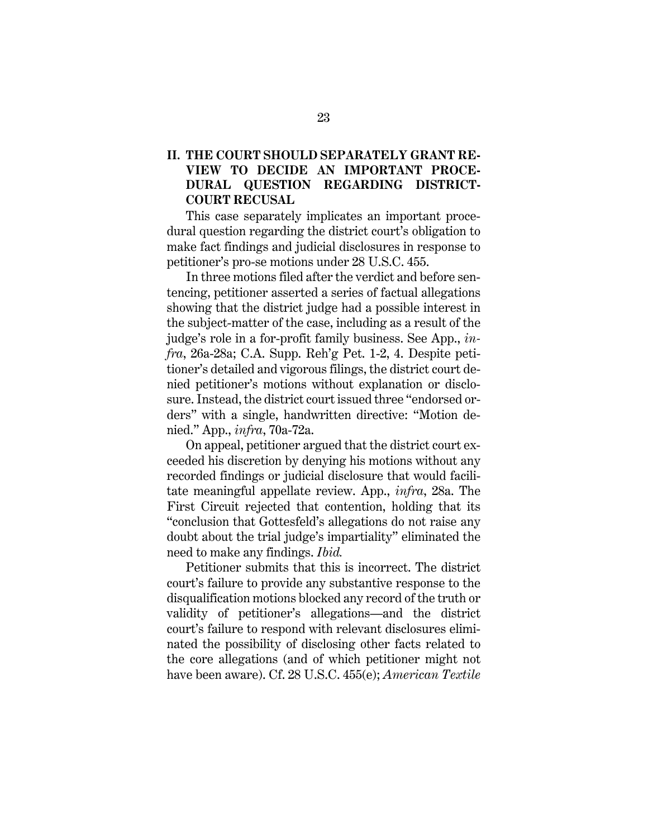## <span id="page-29-0"></span>**II. THE COURT SHOULD SEPARATELY GRANT RE-VIEW TO DECIDE AN IMPORTANT PROCE-DURAL QUESTION REGARDING DISTRICT-COURT RECUSAL**

This case separately implicates an important procedural question regarding the district court's obligation to make fact findings and judicial disclosures in response to petitioner's pro-se motions under 28 U.S.C. 455.

In three motions filed after the verdict and before sentencing, petitioner asserted a series of factual allegations showing that the district judge had a possible interest in the subject-matter of the case, including as a result of the judge's role in a for-profit family business. See App., *infra*, 26a-28a; C.A. Supp. Reh'g Pet. 1-2, 4. Despite petitioner's detailed and vigorous filings, the district court denied petitioner's motions without explanation or disclosure. Instead, the district court issued three "endorsed orders" with a single, handwritten directive: "Motion denied." App., *infra*, 70a-72a.

On appeal, petitioner argued that the district court exceeded his discretion by denying his motions without any recorded findings or judicial disclosure that would facilitate meaningful appellate review. App., *infra*, 28a. The First Circuit rejected that contention, holding that its "conclusion that Gottesfeld's allegations do not raise any doubt about the trial judge's impartiality" eliminated the need to make any findings. *Ibid.*

Petitioner submits that this is incorrect. The district court's failure to provide any substantive response to the disqualification motions blocked any record of the truth or validity of petitioner's allegations—and the district court's failure to respond with relevant disclosures eliminated the possibility of disclosing other facts related to the core allegations (and of which petitioner might not have been aware). Cf. 28 U.S.C. 455(e); *American Textile*